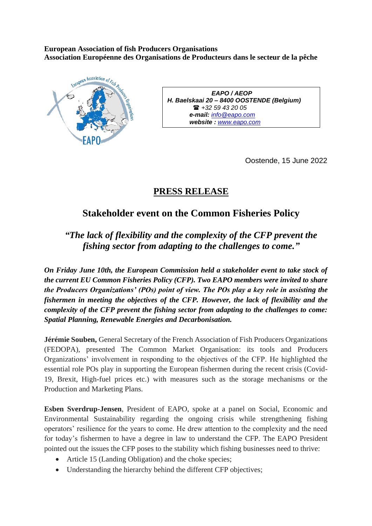**European Association of fish Producers Organisations Association Européenne des Organisations de Producteurs dans le secteur de la pêche**



*EAPO / AEOP H. Baelskaai 20 – 8400 OOSTENDE (Belgium) +32 59 43 20 05 e-mail: [info@eapo.com](mailto:info@eapo.com) website : [www.eapo.com](http://www.eapo.com/)* 

Oostende, 15 June 2022

## **PRESS RELEASE**

## **Stakeholder event on the Common Fisheries Policy**

*"The lack of flexibility and the complexity of the CFP prevent the fishing sector from adapting to the challenges to come."*

*On Friday June 10th, the European Commission held a stakeholder event to take stock of the current EU Common Fisheries Policy (CFP). Two EAPO members were invited to share the Producers Organizations' (POs) point of view. The POs play a key role in assisting the fishermen in meeting the objectives of the CFP. However, the lack of flexibility and the complexity of the CFP prevent the fishing sector from adapting to the challenges to come: Spatial Planning, Renewable Energies and Decarbonisation.*

**Jérémie Souben,** General Secretary of the French Association of Fish Producers Organizations (FEDOPA), presented The Common Market Organisation: its tools and Producers Organizations' involvement in responding to the objectives of the CFP. He highlighted the essential role POs play in supporting the European fishermen during the recent crisis (Covid-19, Brexit, High-fuel prices etc.) with measures such as the storage mechanisms or the Production and Marketing Plans.

**Esben Sverdrup-Jensen**, President of EAPO, spoke at a panel on Social, Economic and Environmental Sustainability regarding the ongoing crisis while strengthening fishing operators' resilience for the years to come. He drew attention to the complexity and the need for today's fishermen to have a degree in law to understand the CFP. The EAPO President pointed out the issues the CFP poses to the stability which fishing businesses need to thrive:

- Article 15 (Landing Obligation) and the choke species;
- Understanding the hierarchy behind the different CFP objectives;